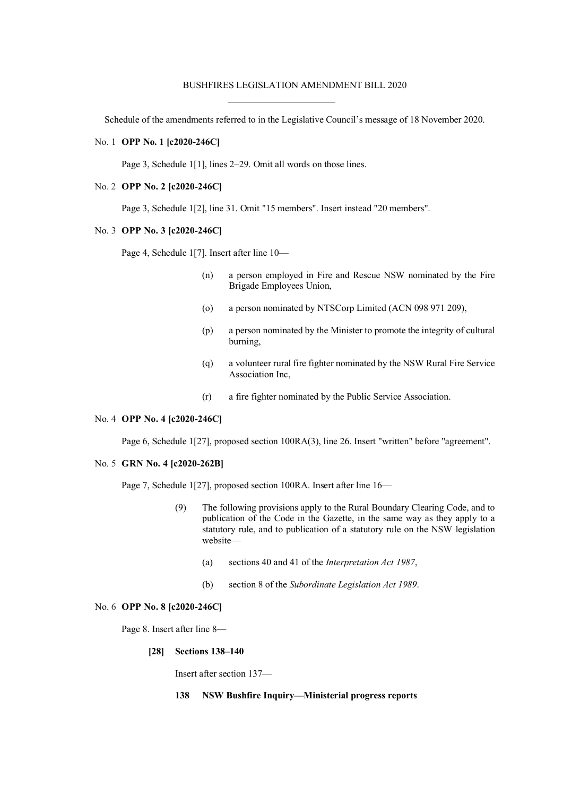# BUSHFIRES LEGISLATION AMENDMENT BILL 2020

Schedule of the amendments referred to in the Legislative Council's message of 18 November 2020.

### No. 1 **OPP No. 1 [c2020-246C]**

Page 3, Schedule 1[1], lines 2–29. Omit all words on those lines.

# No. 2 **OPP No. 2 [c2020-246C]**

Page 3, Schedule 1[2], line 31. Omit "15 members". Insert instead "20 members".

#### No. 3 **OPP No. 3 [c2020-246C]**

Page 4, Schedule 1[7]. Insert after line 10—

- (n) a person employed in Fire and Rescue NSW nominated by the Fire Brigade Employees Union,
- (o) a person nominated by NTSCorp Limited (ACN 098 971 209),
- (p) a person nominated by the Minister to promote the integrity of cultural burning,
- (q) a volunteer rural fire fighter nominated by the NSW Rural Fire Service Association Inc,
- (r) a fire fighter nominated by the Public Service Association.

# No. 4 **OPP No. 4 [c2020-246C]**

Page 6, Schedule 1[27], proposed section 100RA(3), line 26. Insert "written" before "agreement".

### No. 5 **GRN No. 4 [c2020-262B]**

Page 7, Schedule 1[27], proposed section 100RA. Insert after line 16—

- (9) The following provisions apply to the Rural Boundary Clearing Code, and to publication of the Code in the Gazette, in the same way as they apply to a statutory rule, and to publication of a statutory rule on the NSW legislation website—
	- (a) sections 40 and 41 of the *Interpretation Act 1987*,
	- (b) section 8 of the *Subordinate Legislation Act 1989*.

### No. 6 **OPP No. 8 [c2020-246C]**

Page 8. Insert after line 8—

#### **[28] Sections 138–140**

Insert after section 137—

### **138 NSW Bushfire Inquiry—Ministerial progress reports**